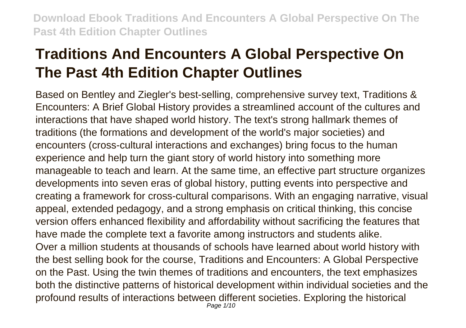# **Traditions And Encounters A Global Perspective On The Past 4th Edition Chapter Outlines**

Based on Bentley and Ziegler's best-selling, comprehensive survey text, Traditions & Encounters: A Brief Global History provides a streamlined account of the cultures and interactions that have shaped world history. The text's strong hallmark themes of traditions (the formations and development of the world's major societies) and encounters (cross-cultural interactions and exchanges) bring focus to the human experience and help turn the giant story of world history into something more manageable to teach and learn. At the same time, an effective part structure organizes developments into seven eras of global history, putting events into perspective and creating a framework for cross-cultural comparisons. With an engaging narrative, visual appeal, extended pedagogy, and a strong emphasis on critical thinking, this concise version offers enhanced flexibility and affordability without sacrificing the features that have made the complete text a favorite among instructors and students alike. Over a million students at thousands of schools have learned about world history with the best selling book for the course, Traditions and Encounters: A Global Perspective on the Past. Using the twin themes of traditions and encounters, the text emphasizes both the distinctive patterns of historical development within individual societies and the profound results of interactions between different societies. Exploring the historical Page 1/10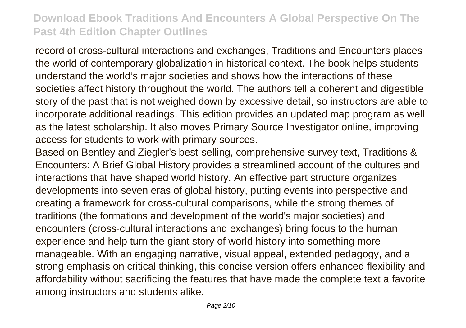record of cross-cultural interactions and exchanges, Traditions and Encounters places the world of contemporary globalization in historical context. The book helps students understand the world's major societies and shows how the interactions of these societies affect history throughout the world. The authors tell a coherent and digestible story of the past that is not weighed down by excessive detail, so instructors are able to incorporate additional readings. This edition provides an updated map program as well as the latest scholarship. It also moves Primary Source Investigator online, improving access for students to work with primary sources.

Based on Bentley and Ziegler's best-selling, comprehensive survey text, Traditions & Encounters: A Brief Global History provides a streamlined account of the cultures and interactions that have shaped world history. An effective part structure organizes developments into seven eras of global history, putting events into perspective and creating a framework for cross-cultural comparisons, while the strong themes of traditions (the formations and development of the world's major societies) and encounters (cross-cultural interactions and exchanges) bring focus to the human experience and help turn the giant story of world history into something more manageable. With an engaging narrative, visual appeal, extended pedagogy, and a strong emphasis on critical thinking, this concise version offers enhanced flexibility and affordability without sacrificing the features that have made the complete text a favorite among instructors and students alike.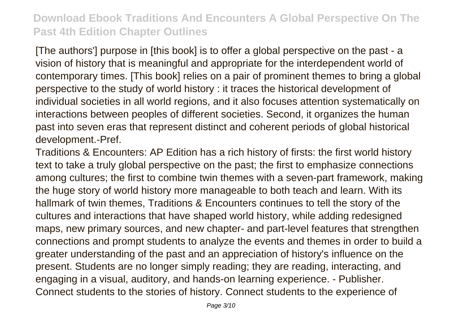[The authors'] purpose in [this book] is to offer a global perspective on the past - a vision of history that is meaningful and appropriate for the interdependent world of contemporary times. [This book] relies on a pair of prominent themes to bring a global perspective to the study of world history : it traces the historical development of individual societies in all world regions, and it also focuses attention systematically on interactions between peoples of different societies. Second, it organizes the human past into seven eras that represent distinct and coherent periods of global historical development.-Pref.

Traditions & Encounters: AP Edition has a rich history of firsts: the first world history text to take a truly global perspective on the past; the first to emphasize connections among cultures; the first to combine twin themes with a seven-part framework, making the huge story of world history more manageable to both teach and learn. With its hallmark of twin themes, Traditions & Encounters continues to tell the story of the cultures and interactions that have shaped world history, while adding redesigned maps, new primary sources, and new chapter- and part-level features that strengthen connections and prompt students to analyze the events and themes in order to build a greater understanding of the past and an appreciation of history's influence on the present. Students are no longer simply reading; they are reading, interacting, and engaging in a visual, auditory, and hands-on learning experience. - Publisher. Connect students to the stories of history. Connect students to the experience of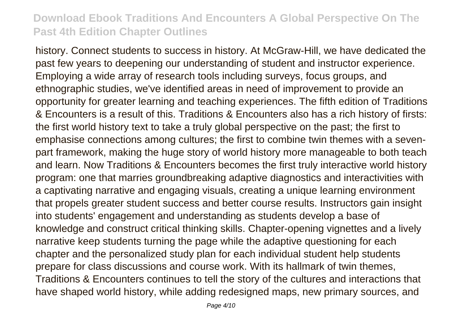history. Connect students to success in history. At McGraw-Hill, we have dedicated the past few years to deepening our understanding of student and instructor experience. Employing a wide array of research tools including surveys, focus groups, and ethnographic studies, we've identified areas in need of improvement to provide an opportunity for greater learning and teaching experiences. The fifth edition of Traditions & Encounters is a result of this. Traditions & Encounters also has a rich history of firsts: the first world history text to take a truly global perspective on the past; the first to emphasise connections among cultures; the first to combine twin themes with a sevenpart framework, making the huge story of world history more manageable to both teach and learn. Now Traditions & Encounters becomes the first truly interactive world history program: one that marries groundbreaking adaptive diagnostics and interactivities with a captivating narrative and engaging visuals, creating a unique learning environment that propels greater student success and better course results. Instructors gain insight into students' engagement and understanding as students develop a base of knowledge and construct critical thinking skills. Chapter-opening vignettes and a lively narrative keep students turning the page while the adaptive questioning for each chapter and the personalized study plan for each individual student help students prepare for class discussions and course work. With its hallmark of twin themes, Traditions & Encounters continues to tell the story of the cultures and interactions that have shaped world history, while adding redesigned maps, new primary sources, and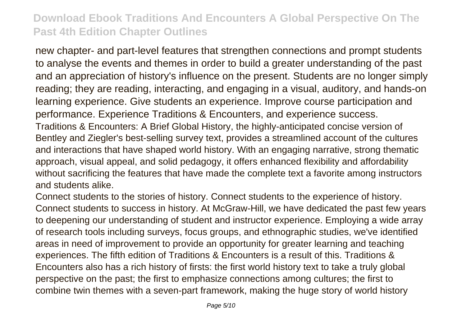new chapter- and part-level features that strengthen connections and prompt students to analyse the events and themes in order to build a greater understanding of the past and an appreciation of history's influence on the present. Students are no longer simply reading; they are reading, interacting, and engaging in a visual, auditory, and hands-on learning experience. Give students an experience. Improve course participation and performance. Experience Traditions & Encounters, and experience success. Traditions & Encounters: A Brief Global History, the highly-anticipated concise version of Bentley and Ziegler's best-selling survey text, provides a streamlined account of the cultures and interactions that have shaped world history. With an engaging narrative, strong thematic approach, visual appeal, and solid pedagogy, it offers enhanced flexibility and affordability without sacrificing the features that have made the complete text a favorite among instructors and students alike.

Connect students to the stories of history. Connect students to the experience of history. Connect students to success in history. At McGraw-Hill, we have dedicated the past few years to deepening our understanding of student and instructor experience. Employing a wide array of research tools including surveys, focus groups, and ethnographic studies, we've identified areas in need of improvement to provide an opportunity for greater learning and teaching experiences. The fifth edition of Traditions & Encounters is a result of this. Traditions & Encounters also has a rich history of firsts: the first world history text to take a truly global perspective on the past; the first to emphasize connections among cultures; the first to combine twin themes with a seven-part framework, making the huge story of world history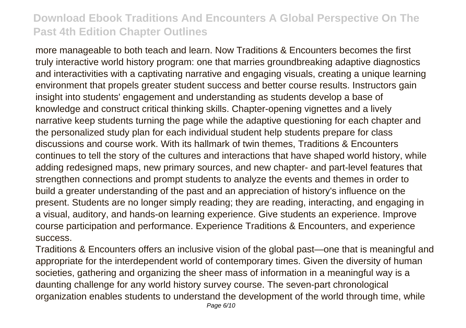more manageable to both teach and learn. Now Traditions & Encounters becomes the first truly interactive world history program: one that marries groundbreaking adaptive diagnostics and interactivities with a captivating narrative and engaging visuals, creating a unique learning environment that propels greater student success and better course results. Instructors gain insight into students' engagement and understanding as students develop a base of knowledge and construct critical thinking skills. Chapter-opening vignettes and a lively narrative keep students turning the page while the adaptive questioning for each chapter and the personalized study plan for each individual student help students prepare for class discussions and course work. With its hallmark of twin themes, Traditions & Encounters continues to tell the story of the cultures and interactions that have shaped world history, while adding redesigned maps, new primary sources, and new chapter- and part-level features that strengthen connections and prompt students to analyze the events and themes in order to build a greater understanding of the past and an appreciation of history's influence on the present. Students are no longer simply reading; they are reading, interacting, and engaging in a visual, auditory, and hands-on learning experience. Give students an experience. Improve course participation and performance. Experience Traditions & Encounters, and experience success.

Traditions & Encounters offers an inclusive vision of the global past—one that is meaningful and appropriate for the interdependent world of contemporary times. Given the diversity of human societies, gathering and organizing the sheer mass of information in a meaningful way is a daunting challenge for any world history survey course. The seven-part chronological organization enables students to understand the development of the world through time, while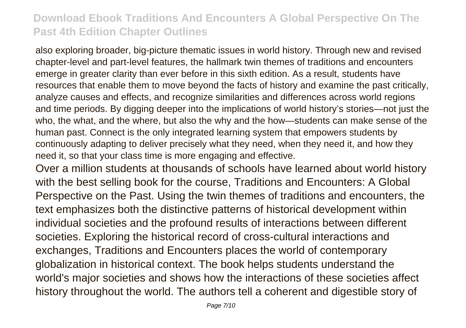also exploring broader, big-picture thematic issues in world history. Through new and revised chapter-level and part-level features, the hallmark twin themes of traditions and encounters emerge in greater clarity than ever before in this sixth edition. As a result, students have resources that enable them to move beyond the facts of history and examine the past critically, analyze causes and effects, and recognize similarities and differences across world regions and time periods. By digging deeper into the implications of world history's stories—not just the who, the what, and the where, but also the why and the how—students can make sense of the human past. Connect is the only integrated learning system that empowers students by continuously adapting to deliver precisely what they need, when they need it, and how they need it, so that your class time is more engaging and effective.

Over a million students at thousands of schools have learned about world history with the best selling book for the course, Traditions and Encounters: A Global Perspective on the Past. Using the twin themes of traditions and encounters, the text emphasizes both the distinctive patterns of historical development within individual societies and the profound results of interactions between different societies. Exploring the historical record of cross-cultural interactions and exchanges, Traditions and Encounters places the world of contemporary globalization in historical context. The book helps students understand the world's major societies and shows how the interactions of these societies affect history throughout the world. The authors tell a coherent and digestible story of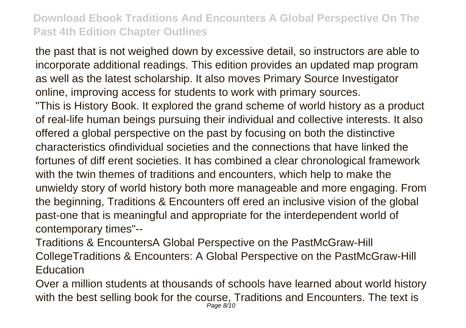the past that is not weighed down by excessive detail, so instructors are able to incorporate additional readings. This edition provides an updated map program as well as the latest scholarship. It also moves Primary Source Investigator online, improving access for students to work with primary sources. "This is History Book. It explored the grand scheme of world history as a product of real-life human beings pursuing their individual and collective interests. It also offered a global perspective on the past by focusing on both the distinctive characteristics ofindividual societies and the connections that have linked the fortunes of diff erent societies. It has combined a clear chronological framework with the twin themes of traditions and encounters, which help to make the unwieldy story of world history both more manageable and more engaging. From the beginning, Traditions & Encounters off ered an inclusive vision of the global past-one that is meaningful and appropriate for the interdependent world of contemporary times"--

Traditions & EncountersA Global Perspective on the PastMcGraw-Hill CollegeTraditions & Encounters: A Global Perspective on the PastMcGraw-Hill **Education** 

Over a million students at thousands of schools have learned about world history with the best selling book for the course, Traditions and Encounters. The text is Page 8/10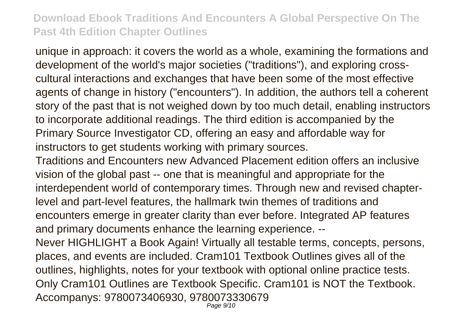unique in approach: it covers the world as a whole, examining the formations and development of the world's major societies ("traditions"), and exploring crosscultural interactions and exchanges that have been some of the most effective agents of change in history ("encounters"). In addition, the authors tell a coherent story of the past that is not weighed down by too much detail, enabling instructors to incorporate additional readings. The third edition is accompanied by the Primary Source Investigator CD, offering an easy and affordable way for instructors to get students working with primary sources.

Traditions and Encounters new Advanced Placement edition offers an inclusive vision of the global past -- one that is meaningful and appropriate for the interdependent world of contemporary times. Through new and revised chapterlevel and part-level features, the hallmark twin themes of traditions and encounters emerge in greater clarity than ever before. Integrated AP features and primary documents enhance the learning experience. --

Never HIGHLIGHT a Book Again! Virtually all testable terms, concepts, persons, places, and events are included. Cram101 Textbook Outlines gives all of the outlines, highlights, notes for your textbook with optional online practice tests. Only Cram101 Outlines are Textbook Specific. Cram101 is NOT the Textbook. Accompanys: 9780073406930, 9780073330679